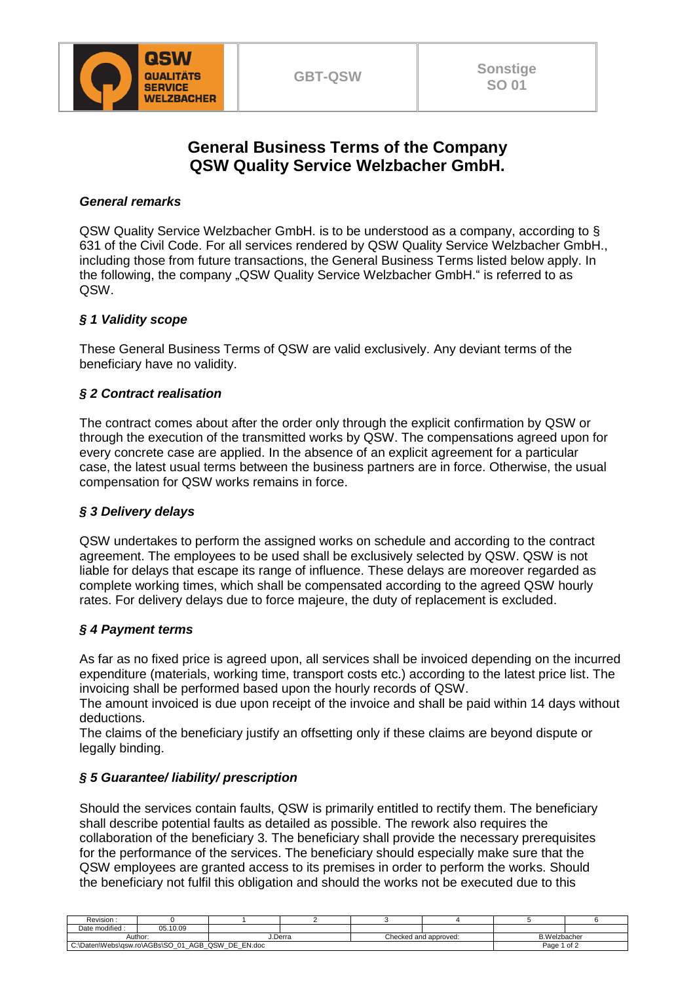

# **General Business Terms of the Company QSW Quality Service Welzbacher GmbH.**

### *General remarks*

QSW Quality Service Welzbacher GmbH. is to be understood as a company, according to § 631 of the Civil Code. For all services rendered by QSW Quality Service Welzbacher GmbH., including those from future transactions, the General Business Terms listed below apply. In the following, the company "QSW Quality Service Welzbacher GmbH." is referred to as QSW.

### *§ 1 Validity scope*

These General Business Terms of QSW are valid exclusively. Any deviant terms of the beneficiary have no validity.

### *§ 2 Contract realisation*

The contract comes about after the order only through the explicit confirmation by QSW or through the execution of the transmitted works by QSW. The compensations agreed upon for every concrete case are applied. In the absence of an explicit agreement for a particular case, the latest usual terms between the business partners are in force. Otherwise, the usual compensation for QSW works remains in force.

#### *§ 3 Delivery delays*

QSW undertakes to perform the assigned works on schedule and according to the contract agreement. The employees to be used shall be exclusively selected by QSW. QSW is not liable for delays that escape its range of influence. These delays are moreover regarded as complete working times, which shall be compensated according to the agreed QSW hourly rates. For delivery delays due to force majeure, the duty of replacement is excluded.

#### *§ 4 Payment terms*

As far as no fixed price is agreed upon, all services shall be invoiced depending on the incurred expenditure (materials, working time, transport costs etc.) according to the latest price list. The invoicing shall be performed based upon the hourly records of QSW.

The amount invoiced is due upon receipt of the invoice and shall be paid within 14 days without deductions.

The claims of the beneficiary justify an offsetting only if these claims are beyond dispute or legally binding.

## *§ 5 Guarantee/ liability/ prescription*

Should the services contain faults, QSW is primarily entitled to rectify them. The beneficiary shall describe potential faults as detailed as possible. The rework also requires the collaboration of the beneficiary 3. The beneficiary shall provide the necessary prerequisites for the performance of the services. The beneficiary should especially make sure that the QSW employees are granted access to its premises in order to perform the works. Should the beneficiary not fulfil this obligation and should the works not be executed due to this

| Revision :                                                         |               |         |  |                       |  |                     |        |  |
|--------------------------------------------------------------------|---------------|---------|--|-----------------------|--|---------------------|--------|--|
| Date modified :                                                    | .10.09<br>05. |         |  |                       |  |                     |        |  |
| Author                                                             |               | J.Derra |  | Checked and approved: |  | <b>B.Welzbacher</b> |        |  |
| EN.doc<br>DE<br>, QSW<br>01<br>AGB<br>C:\Daten\Webs\gsw.ro\AGBs\SO |               |         |  |                       |  |                     | Page 1 |  |